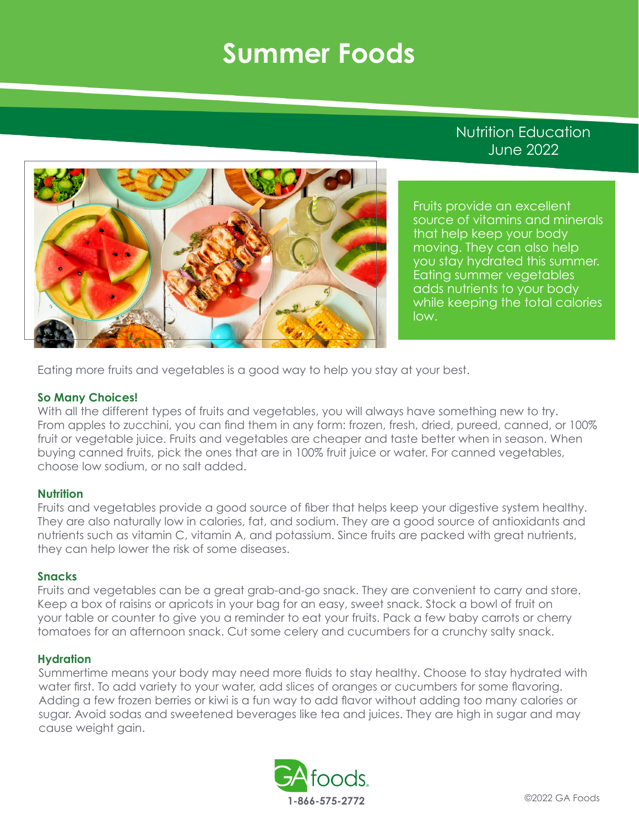## **Summer Foods**

### Nutrition Education June 2022



Fruits provide an excellent source of vitamins and minerals that help keep your body moving. They can also help you stay hydrated this summer. Eating summer vegetables adds nutrients to your body while keeping the total calories low.

Eating more fruits and vegetables is a good way to help you stay at your best.

#### **So Many Choices!**

With all the different types of fruits and vegetables, you will always have something new to try. From apples to zucchini, you can find them in any form: frozen, fresh, dried, pureed, canned, or 100% fruit or vegetable juice. Fruits and vegetables are cheaper and taste better when in season. When buying canned fruits, pick the ones that are in 100% fruit juice or water. For canned vegetables, choose low sodium, or no salt added.

#### **Nutrition**

Fruits and vegetables provide a good source of fiber that helps keep your digestive system healthy. They are also naturally low in calories, fat, and sodium. They are a good source of antioxidants and nutrients such as vitamin C, vitamin A, and potassium. Since fruits are packed with great nutrients, they can help lower the risk of some diseases.

#### **Snacks**

Fruits and vegetables can be a great grab-and-go snack. They are convenient to carry and store. Keep a box of raisins or apricots in your bag for an easy, sweet snack. Stock a bowl of fruit on your table or counter to give you a reminder to eat your fruits. Pack a few baby carrots or cherry tomatoes for an afternoon snack. Cut some celery and cucumbers for a crunchy salty snack.

#### **Hydration**

Summertime means your body may need more fluids to stay healthy. Choose to stay hydrated with water first. To add variety to your water, add slices of oranges or cucumbers for some flavoring. Adding a few frozen berries or kiwi is a fun way to add flavor without adding too many calories or sugar. Avoid sodas and sweetened beverages like tea and juices. They are high in sugar and may cause weight gain.